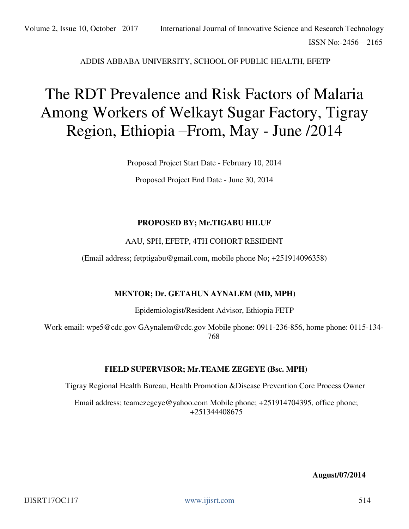### ADDIS ABBABA UNIVERSITY, SCHOOL OF PUBLIC HEALTH, EFETP

# The RDT Prevalence and Risk Factors of Malaria Among Workers of Welkayt Sugar Factory, Tigray Region, Ethiopia –From, May - June /2014

Proposed Project Start Date - February 10, 2014

Proposed Project End Date - June 30, 2014

#### **PROPOSED BY; Mr.TIGABU HILUF**

#### AAU, SPH, EFETP, 4TH COHORT RESIDENT

(Email address; fetptigabu@gmail.com, mobile phone No; +251914096358)

#### **MENTOR; Dr. GETAHUN AYNALEM (MD, MPH)**

Epidemiologist/Resident Advisor, Ethiopia FETP

Work email: wpe5@cdc.gov GAynalem@cdc.gov Mobile phone: 0911-236-856, home phone: 0115-134- 768

#### **FIELD SUPERVISOR; Mr.TEAME ZEGEYE (Bsc. MPH)**

Tigray Regional Health Bureau, Health Promotion &Disease Prevention Core Process Owner

Email address; teamezegeye@yahoo.com Mobile phone; +251914704395, office phone; +251344408675

**August/07/2014**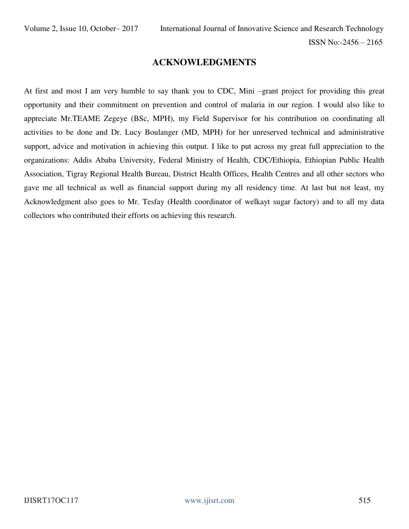# **ACKNOWLEDGMENTS**

At first and most I am very humble to say thank you to CDC, Mini –grant project for providing this great opportunity and their commitment on prevention and control of malaria in our region. I would also like to appreciate Mr.TEAME Zegeye (BSc, MPH), my Field Supervisor for his contribution on coordinating all activities to be done and Dr. Lucy Boulanger (MD, MPH) for her unreserved technical and administrative support, advice and motivation in achieving this output. I like to put across my great full appreciation to the organizations: Addis Ababa University, Federal Ministry of Health, CDC/Ethiopia, Ethiopian Public Health Association, Tigray Regional Health Bureau, District Health Offices, Health Centres and all other sectors who gave me all technical as well as financial support during my all residency time. At last but not least, my Acknowledgment also goes to Mr. Tesfay (Health coordinator of welkayt sugar factory) and to all my data collectors who contributed their efforts on achieving this research.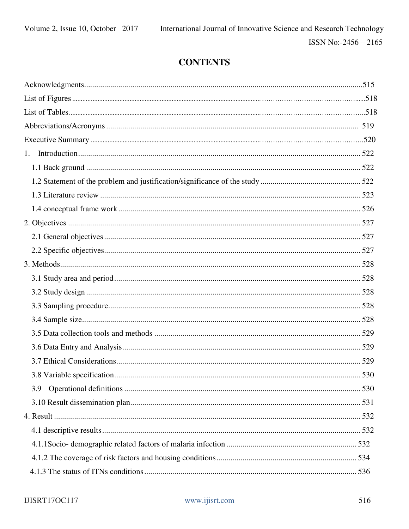# **CONTENTS**

| 1.  |  |
|-----|--|
|     |  |
|     |  |
|     |  |
|     |  |
|     |  |
|     |  |
|     |  |
|     |  |
|     |  |
|     |  |
|     |  |
|     |  |
|     |  |
|     |  |
|     |  |
|     |  |
| 3.9 |  |
|     |  |
|     |  |
|     |  |
|     |  |
|     |  |
|     |  |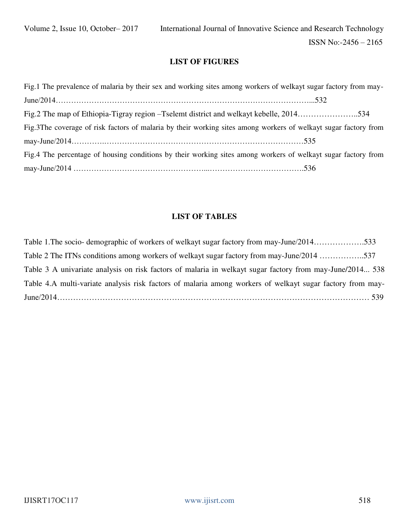## **LIST OF FIGURES**

Fig.1 The prevalence of malaria by their sex and working sites among workers of welkayt sugar factory from may-June/2014………………………………………………………………………………………...532 Fig.2 The map of Ethiopia-Tigray region –Tselemt district and welkayt kebelle, 2014…………………..534 Fig.3The coverage of risk factors of malaria by their working sites among workers of welkayt sugar factory from may-June/2014………….……………………………………………………………………535 Fig.4 The percentage of housing conditions by their working sites among workers of welkayt sugar factory from may-June/2014 ……………………………………………...……………………………….536

### **LIST OF TABLES**

Table 1. The socio- demographic of workers of welkayt sugar factory from may-June/2014…………………533 Table 2 The ITNs conditions among workers of welkayt sugar factory from may-June/2014 ……………..537 Table 3 A univariate analysis on risk factors of malaria in welkayt sugar factory from may-June/2014... 538 Table 4.A multi-variate analysis risk factors of malaria among workers of welkayt sugar factory from may-June/2014……………………………………………………………………………………………………… 539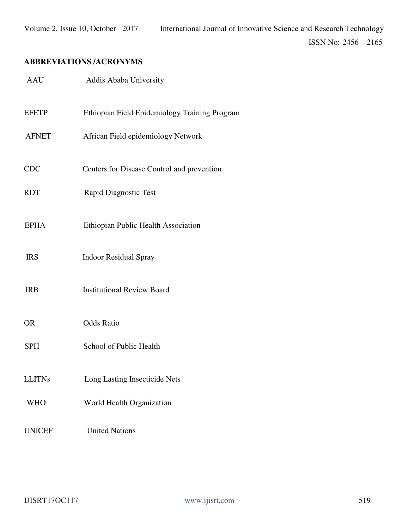# **ABBREVIATIONS /ACRONYMS**

| <b>AAU</b>    | Addis Ababa University                        |
|---------------|-----------------------------------------------|
| <b>EFETP</b>  | Ethiopian Field Epidemiology Training Program |
| <b>AFNET</b>  | African Field epidemiology Network            |
| <b>CDC</b>    | Centers for Disease Control and prevention    |
| <b>RDT</b>    | <b>Rapid Diagnostic Test</b>                  |
| <b>EPHA</b>   | Ethiopian Public Health Association           |
| <b>IRS</b>    | <b>Indoor Residual Spray</b>                  |
| <b>IRB</b>    | <b>Institutional Review Board</b>             |
| <b>OR</b>     | <b>Odds Ratio</b>                             |
| <b>SPH</b>    | School of Public Health                       |
| <b>LLITNs</b> | Long Lasting Insecticide Nets                 |
| <b>WHO</b>    | World Health Organization                     |
| <b>UNICEF</b> | <b>United Nations</b>                         |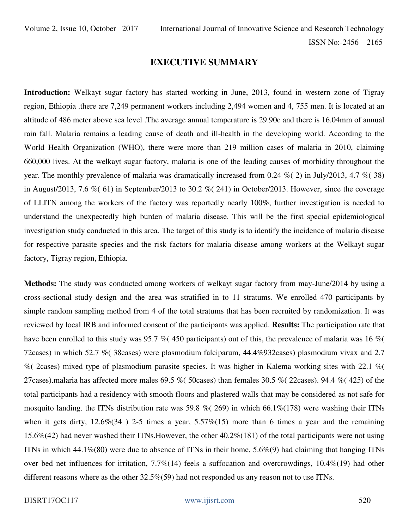### **EXECUTIVE SUMMARY**

**Introduction:** Welkayt sugar factory has started working in June, 2013, found in western zone of Tigray region, Ethiopia .there are 7,249 permanent workers including 2,494 women and 4, 755 men. It is located at an altitude of 486 meter above sea level .The average annual temperature is 29.90c and there is 16.04mm of annual rain fall. Malaria remains a leading cause of death and ill-health in the developing world. According to the World Health Organization (WHO), there were more than 219 million cases of malaria in 2010, claiming 660,000 lives. At the welkayt sugar factory, malaria is one of the leading causes of morbidity throughout the year. The monthly prevalence of malaria was dramatically increased from 0.24 %( 2) in July/2013, 4.7 %( 38) in August/2013, 7.6 % (61) in September/2013 to 30.2 % (241) in October/2013. However, since the coverage of LLITN among the workers of the factory was reportedly nearly 100%, further investigation is needed to understand the unexpectedly high burden of malaria disease. This will be the first special epidemiological investigation study conducted in this area. The target of this study is to identify the incidence of malaria disease for respective parasite species and the risk factors for malaria disease among workers at the Welkayt sugar factory, Tigray region, Ethiopia.

**Methods:** The study was conducted among workers of welkayt sugar factory from may-June/2014 by using a cross-sectional study design and the area was stratified in to 11 stratums. We enrolled 470 participants by simple random sampling method from 4 of the total stratums that has been recruited by randomization. It was reviewed by local IRB and informed consent of the participants was applied. **Results:** The participation rate that have been enrolled to this study was 95.7 % (450 participants) out of this, the prevalence of malaria was 16 % ( 72cases) in which 52.7 %( 38cases) were plasmodium falciparum, 44.4%932cases) plasmodium vivax and 2.7 %( 2cases) mixed type of plasmodium parasite species. It was higher in Kalema working sites with 22.1 %( 27cases).malaria has affected more males 69.5 %( 50cases) than females 30.5 %( 22cases). 94.4 %( 425) of the total participants had a residency with smooth floors and plastered walls that may be considered as not safe for mosquito landing. the ITNs distribution rate was 59.8 % (269) in which 66.1% (178) were washing their ITNs when it gets dirty,  $12.6\%(34)$  2-5 times a year,  $5.57\%(15)$  more than 6 times a year and the remaining 15.6%(42) had never washed their ITNs.However, the other 40.2%(181) of the total participants were not using ITNs in which  $44.1\%$ (80) were due to absence of ITNs in their home,  $5.6\%$ (9) had claiming that hanging ITNs over bed net influences for irritation, 7.7%(14) feels a suffocation and overcrowdings, 10.4%(19) had other different reasons where as the other 32.5%(59) had not responded us any reason not to use ITNs.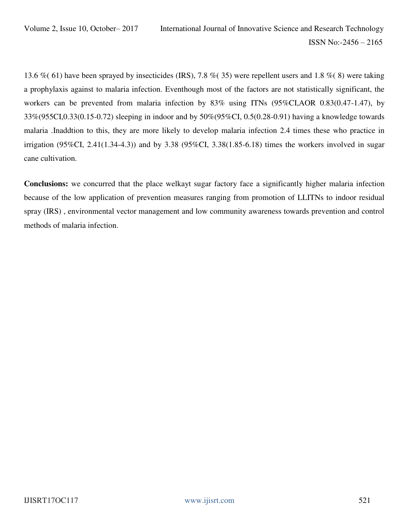13.6 %( 61) have been sprayed by insecticides (IRS), 7.8 %( 35) were repellent users and 1.8 %( 8) were taking a prophylaxis against to malaria infection. Eventhough most of the factors are not statistically significant, the workers can be prevented from malaria infection by 83% using ITNs (95%CI,AOR 0.83(0.47-1.47), by 33%(955CI,0.33(0.15-0.72) sleeping in indoor and by 50%(95%CI, 0.5(0.28-0.91) having a knowledge towards malaria .Inaddtion to this, they are more likely to develop malaria infection 2.4 times these who practice in irrigation (95%CI, 2.41(1.34-4.3)) and by 3.38 (95%CI, 3.38(1.85-6.18) times the workers involved in sugar cane cultivation.

**Conclusions:** we concurred that the place welkayt sugar factory face a significantly higher malaria infection because of the low application of prevention measures ranging from promotion of LLITNs to indoor residual spray (IRS) , environmental vector management and low community awareness towards prevention and control methods of malaria infection.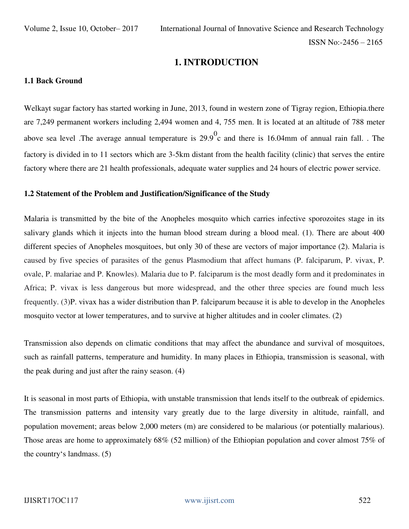# **1. INTRODUCTION**

#### **1.1 Back Ground**

Welkayt sugar factory has started working in June, 2013, found in western zone of Tigray region, Ethiopia.there are 7,249 permanent workers including 2,494 women and 4, 755 men. It is located at an altitude of 788 meter above sea level .The average annual temperature is  $29.9^{\circ}$  and there is 16.04mm of annual rain fall. . The factory is divided in to 11 sectors which are 3-5km distant from the health facility (clinic) that serves the entire factory where there are 21 health professionals, adequate water supplies and 24 hours of electric power service.

#### **1.2 Statement of the Problem and Justification/Significance of the Study**

Malaria is transmitted by the bite of the Anopheles mosquito which carries infective sporozoites stage in its salivary glands which it injects into the human blood stream during a blood meal. (1). There are about 400 different species of Anopheles mosquitoes, but only 30 of these are vectors of major importance (2). Malaria is caused by five species of parasites of the genus Plasmodium that affect humans (P. falciparum, P. vivax, P. ovale, P. malariae and P. Knowles). Malaria due to P. falciparum is the most deadly form and it predominates in Africa; P. vivax is less dangerous but more widespread, and the other three species are found much less frequently. (3)P. vivax has a wider distribution than P. falciparum because it is able to develop in the Anopheles mosquito vector at lower temperatures, and to survive at higher altitudes and in cooler climates. (2)

Transmission also depends on climatic conditions that may affect the abundance and survival of mosquitoes, such as rainfall patterns, temperature and humidity. In many places in Ethiopia, transmission is seasonal, with the peak during and just after the rainy season. (4)

It is seasonal in most parts of Ethiopia, with unstable transmission that lends itself to the outbreak of epidemics. The transmission patterns and intensity vary greatly due to the large diversity in altitude, rainfall, and population movement; areas below 2,000 meters (m) are considered to be malarious (or potentially malarious). Those areas are home to approximately 68% (52 million) of the Ethiopian population and cover almost 75% of the country's landmass. (5)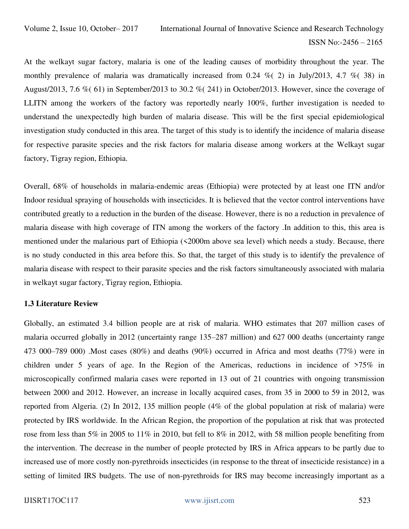At the welkayt sugar factory, malaria is one of the leading causes of morbidity throughout the year. The monthly prevalence of malaria was dramatically increased from 0.24  $\%$  (2) in July/2013, 4.7  $\%$  (38) in August/2013, 7.6 %( 61) in September/2013 to 30.2 %( 241) in October/2013. However, since the coverage of LLITN among the workers of the factory was reportedly nearly 100%, further investigation is needed to understand the unexpectedly high burden of malaria disease. This will be the first special epidemiological investigation study conducted in this area. The target of this study is to identify the incidence of malaria disease for respective parasite species and the risk factors for malaria disease among workers at the Welkayt sugar factory, Tigray region, Ethiopia.

Overall, 68% of households in malaria-endemic areas (Ethiopia) were protected by at least one ITN and/or Indoor residual spraying of households with insecticides. It is believed that the vector control interventions have contributed greatly to a reduction in the burden of the disease. However, there is no a reduction in prevalence of malaria disease with high coverage of ITN among the workers of the factory .In addition to this, this area is mentioned under the malarious part of Ethiopia (<2000m above sea level) which needs a study. Because, there is no study conducted in this area before this. So that, the target of this study is to identify the prevalence of malaria disease with respect to their parasite species and the risk factors simultaneously associated with malaria in welkayt sugar factory, Tigray region, Ethiopia.

#### **1.3 Literature Review**

Globally, an estimated 3.4 billion people are at risk of malaria. WHO estimates that 207 million cases of malaria occurred globally in 2012 (uncertainty range 135–287 million) and 627 000 deaths (uncertainty range 473 000–789 000) .Most cases (80%) and deaths (90%) occurred in Africa and most deaths (77%) were in children under 5 years of age. In the Region of the Americas, reductions in incidence of >75% in microscopically confirmed malaria cases were reported in 13 out of 21 countries with ongoing transmission between 2000 and 2012. However, an increase in locally acquired cases, from 35 in 2000 to 59 in 2012, was reported from Algeria. (2) In 2012, 135 million people (4% of the global population at risk of malaria) were protected by IRS worldwide. In the African Region, the proportion of the population at risk that was protected rose from less than 5% in 2005 to 11% in 2010, but fell to 8% in 2012, with 58 million people benefiting from the intervention. The decrease in the number of people protected by IRS in Africa appears to be partly due to increased use of more costly non-pyrethroids insecticides (in response to the threat of insecticide resistance) in a setting of limited IRS budgets. The use of non-pyrethroids for IRS may become increasingly important as a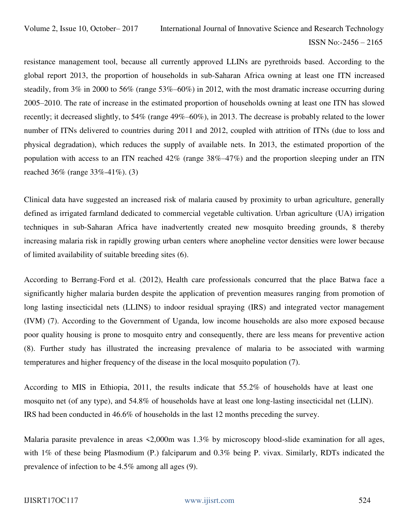resistance management tool, because all currently approved LLINs are pyrethroids based. According to the global report 2013, the proportion of households in sub-Saharan Africa owning at least one ITN increased steadily, from 3% in 2000 to 56% (range 53%–60%) in 2012, with the most dramatic increase occurring during 2005–2010. The rate of increase in the estimated proportion of households owning at least one ITN has slowed recently; it decreased slightly, to 54% (range 49%–60%), in 2013. The decrease is probably related to the lower number of ITNs delivered to countries during 2011 and 2012, coupled with attrition of ITNs (due to loss and physical degradation), which reduces the supply of available nets. In 2013, the estimated proportion of the population with access to an ITN reached 42% (range 38%–47%) and the proportion sleeping under an ITN reached 36% (range 33%-41%). (3)

Clinical data have suggested an increased risk of malaria caused by proximity to urban agriculture, generally defined as irrigated farmland dedicated to commercial vegetable cultivation. Urban agriculture (UA) irrigation techniques in sub-Saharan Africa have inadvertently created new mosquito breeding grounds, 8 thereby increasing malaria risk in rapidly growing urban centers where anopheline vector densities were lower because of limited availability of suitable breeding sites (6).

According to Berrang-Ford et al. (2012), Health care professionals concurred that the place Batwa face a significantly higher malaria burden despite the application of prevention measures ranging from promotion of long lasting insecticidal nets (LLINS) to indoor residual spraying (IRS) and integrated vector management (IVM) (7). According to the Government of Uganda, low income households are also more exposed because poor quality housing is prone to mosquito entry and consequently, there are less means for preventive action (8). Further study has illustrated the increasing prevalence of malaria to be associated with warming temperatures and higher frequency of the disease in the local mosquito population (7).

According to MIS in Ethiopia, 2011, the results indicate that 55.2% of households have at least one mosquito net (of any type), and 54.8% of households have at least one long-lasting insecticidal net (LLIN). IRS had been conducted in 46.6% of households in the last 12 months preceding the survey.

Malaria parasite prevalence in areas <2,000m was 1.3% by microscopy blood-slide examination for all ages, with 1% of these being Plasmodium (P.) falciparum and 0.3% being P. vivax. Similarly, RDTs indicated the prevalence of infection to be 4.5% among all ages (9).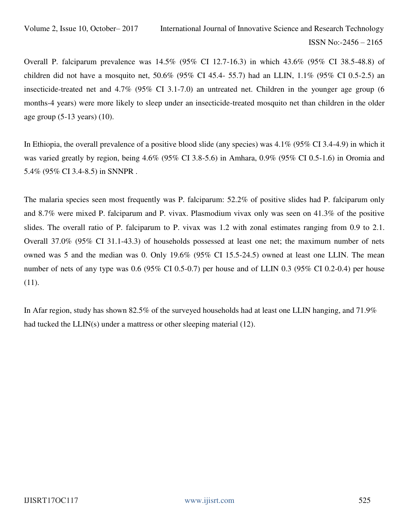Overall P. falciparum prevalence was 14.5% (95% CI 12.7-16.3) in which 43.6% (95% CI 38.5-48.8) of children did not have a mosquito net, 50.6% (95% CI 45.4- 55.7) had an LLIN, 1.1% (95% CI 0.5-2.5) an insecticide-treated net and 4.7% (95% CI 3.1-7.0) an untreated net. Children in the younger age group (6 months-4 years) were more likely to sleep under an insecticide-treated mosquito net than children in the older age group (5-13 years) (10).

In Ethiopia, the overall prevalence of a positive blood slide (any species) was 4.1% (95% CI 3.4-4.9) in which it was varied greatly by region, being 4.6% (95% CI 3.8-5.6) in Amhara, 0.9% (95% CI 0.5-1.6) in Oromia and 5.4% (95% CI 3.4-8.5) in SNNPR .

The malaria species seen most frequently was P. falciparum: 52.2% of positive slides had P. falciparum only and 8.7% were mixed P. falciparum and P. vivax. Plasmodium vivax only was seen on 41.3% of the positive slides. The overall ratio of P. falciparum to P. vivax was 1.2 with zonal estimates ranging from 0.9 to 2.1. Overall 37.0% (95% CI 31.1-43.3) of households possessed at least one net; the maximum number of nets owned was 5 and the median was 0. Only 19.6% (95% CI 15.5-24.5) owned at least one LLIN. The mean number of nets of any type was 0.6 (95% CI 0.5-0.7) per house and of LLIN 0.3 (95% CI 0.2-0.4) per house (11).

In Afar region, study has shown 82.5% of the surveyed households had at least one LLIN hanging, and 71.9% had tucked the LLIN(s) under a mattress or other sleeping material (12).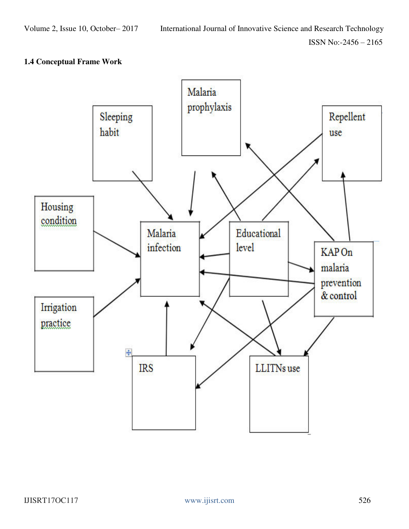# **1.4 Conceptual Frame Work**

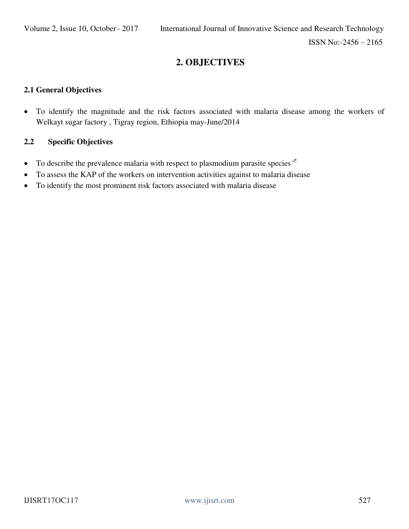# **2. OBJECTIVES**

### **2.1 General Objectives**

 To identify the magnitude and the risk factors associated with malaria disease among the workers of Welkayt sugar factory , Tigray region, Ethiopia may-June/2014

# **2.2 Specific Objectives**

- To describe the prevalence malaria with respect to plasmodium parasite species  $\Phi$
- To assess the KAP of the workers on intervention activities against to malaria disease
- To identify the most prominent risk factors associated with malaria disease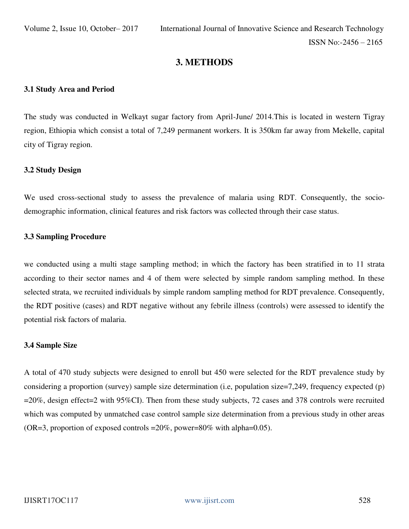# **3. METHODS**

#### **3.1 Study Area and Period**

The study was conducted in Welkayt sugar factory from April-June/ 2014.This is located in western Tigray region, Ethiopia which consist a total of 7,249 permanent workers. It is 350km far away from Mekelle, capital city of Tigray region.

#### **3.2 Study Design**

We used cross-sectional study to assess the prevalence of malaria using RDT. Consequently, the sociodemographic information, clinical features and risk factors was collected through their case status.

#### **3.3 Sampling Procedure**

we conducted using a multi stage sampling method; in which the factory has been stratified in to 11 strata according to their sector names and 4 of them were selected by simple random sampling method. In these selected strata, we recruited individuals by simple random sampling method for RDT prevalence. Consequently, the RDT positive (cases) and RDT negative without any febrile illness (controls) were assessed to identify the potential risk factors of malaria.

#### **3.4 Sample Size**

A total of 470 study subjects were designed to enroll but 450 were selected for the RDT prevalence study by considering a proportion (survey) sample size determination (i.e, population size=7,249, frequency expected (p) =20%, design effect=2 with 95%CI). Then from these study subjects, 72 cases and 378 controls were recruited which was computed by unmatched case control sample size determination from a previous study in other areas (OR=3, proportion of exposed controls = $20\%$ , power= $80\%$  with alpha=0.05).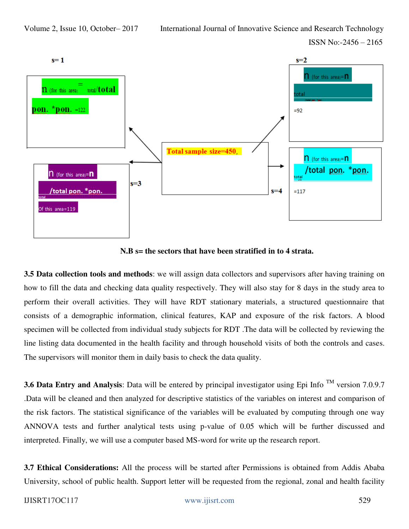



**N.B s= the sectors that have been stratified in to 4 strata.** 

**3.5 Data collection tools and methods**: we will assign data collectors and supervisors after having training on how to fill the data and checking data quality respectively. They will also stay for 8 days in the study area to perform their overall activities. They will have RDT stationary materials, a structured questionnaire that consists of a demographic information, clinical features, KAP and exposure of the risk factors. A blood specimen will be collected from individual study subjects for RDT .The data will be collected by reviewing the line listing data documented in the health facility and through household visits of both the controls and cases. The supervisors will monitor them in daily basis to check the data quality.

**3.6 Data Entry and Analysis**: Data will be entered by principal investigator using Epi Info<sup>TM</sup> version 7.0.9.7 .Data will be cleaned and then analyzed for descriptive statistics of the variables on interest and comparison of the risk factors. The statistical significance of the variables will be evaluated by computing through one way ANNOVA tests and further analytical tests using p-value of 0.05 which will be further discussed and interpreted. Finally, we will use a computer based MS-word for write up the research report.

**3.7 Ethical Considerations:** All the process will be started after Permissions is obtained from Addis Ababa University, school of public health. Support letter will be requested from the regional, zonal and health facility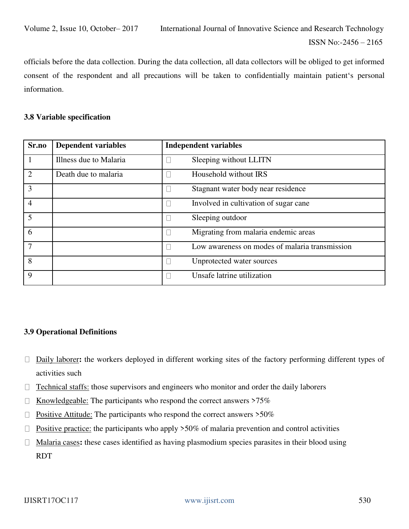officials before the data collection. During the data collection, all data collectors will be obliged to get informed consent of the respondent and all precautions will be taken to confidentially maintain patient's personal information.

#### **3.8 Variable specification**

| Sr.no          | <b>Dependent variables</b> | <b>Independent variables</b>                   |
|----------------|----------------------------|------------------------------------------------|
|                | Illness due to Malaria     | Sleeping without LLITN                         |
| $\overline{2}$ | Death due to malaria       | Household without IRS                          |
| 3              |                            | Stagnant water body near residence             |
| 4              |                            | Involved in cultivation of sugar cane          |
| $\overline{5}$ |                            | Sleeping outdoor                               |
| 6              |                            | Migrating from malaria endemic areas           |
| 7              |                            | Low awareness on modes of malaria transmission |
| 8              |                            | Unprotected water sources                      |
| 9              |                            | Unsafe latrine utilization                     |

#### **3.9 Operational Definitions**

- Daily laborer**:** the workers deployed in different working sites of the factory performing different types of activities such
- $\Box$  Technical staffs: those supervisors and engineers who monitor and order the daily laborers
- Knowledgeable: The participants who respond the correct answers >75%  $\Box$
- Positive Attitude: The participants who respond the correct answers >50%  $\Box$
- Positive practice: the participants who apply >50% of malaria prevention and control activities  $\Box$
- Malaria cases**:** these cases identified as having plasmodium species parasites in their blood using  $\Box$ RDT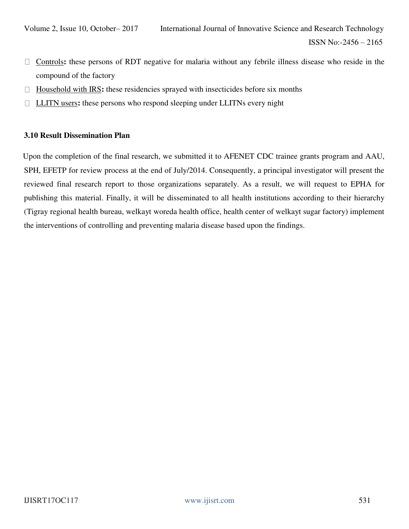- Controls**:** these persons of RDT negative for malaria without any febrile illness disease who reside in the  $\Box$ compound of the factory
- $\Box$  Household with IRS: these residencies sprayed with insecticides before six months
- LLITN users**:** these persons who respond sleeping under LLITNs every night

#### **3.10 Result Dissemination Plan**

Upon the completion of the final research, we submitted it to AFENET CDC trainee grants program and AAU, SPH, EFETP for review process at the end of July/2014. Consequently, a principal investigator will present the reviewed final research report to those organizations separately. As a result, we will request to EPHA for publishing this material. Finally, it will be disseminated to all health institutions according to their hierarchy (Tigray regional health bureau, welkayt woreda health office, health center of welkayt sugar factory) implement the interventions of controlling and preventing malaria disease based upon the findings.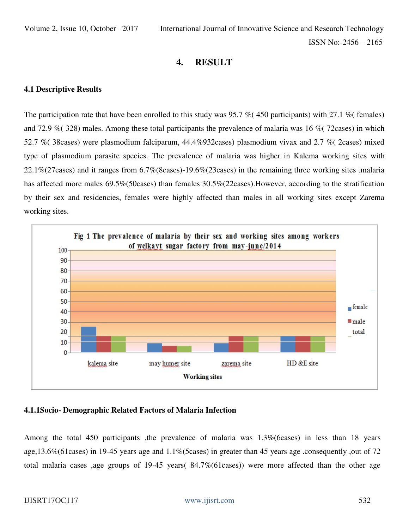# **4. RESULT**

## **4.1 Descriptive Results**

The participation rate that have been enrolled to this study was 95.7 % (450 participants) with 27.1 % (females) and 72.9 %( 328) males. Among these total participants the prevalence of malaria was 16 %( 72cases) in which 52.7 %( 38cases) were plasmodium falciparum, 44.4%932cases) plasmodium vivax and 2.7 %( 2cases) mixed type of plasmodium parasite species. The prevalence of malaria was higher in Kalema working sites with 22.1%(27cases) and it ranges from 6.7%(8cases)-19.6%(23cases) in the remaining three working sites .malaria has affected more males 69.5%(50cases) than females 30.5%(22cases).However, according to the stratification by their sex and residencies, females were highly affected than males in all working sites except Zarema working sites.



# **4.1.1Socio- Demographic Related Factors of Malaria Infection**

Among the total 450 participants ,the prevalence of malaria was 1.3%(6cases) in less than 18 years age,13.6%(61cases) in 19-45 years age and 1.1%(5cases) in greater than 45 years age .consequently ,out of 72 total malaria cases ,age groups of 19-45 years( 84.7%(61cases)) were more affected than the other age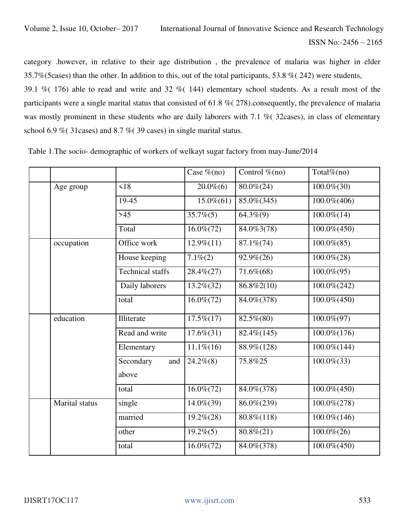category .however, in relative to their age distribution , the prevalence of malaria was higher in elder 35.7%(5cases) than the other. In addition to this, out of the total participants, 53.8 %( 242) were students,

39.1 %( 176) able to read and write and 32 %( 144) elementary school students. As a result most of the participants were a single marital status that consisted of 61.8 %( 278).consequently, the prevalence of malaria was mostly prominent in these students who are daily laborers with 7.1 % (32cases), in class of elementary school 6.9 % (31 cases) and 8.7 % (39 cases) in single marital status.

|                |                         | Case $\%$ (no)  | Control $\%$ (no)      | Total $%$ (no)    |
|----------------|-------------------------|-----------------|------------------------|-------------------|
| Age group      | $\leq 18$               | $20.0\%$ (6)    | $80.0\% (24)$          | $100.0\% (30)$    |
|                | 19-45                   | $15.0\%$ $(61)$ | 85.0%(345)             | 100.0%(406)       |
|                | $>45$                   | $35.7\%(5)$     | $\overline{64.3\%}(9)$ | $100.0\%(14)$     |
|                | Total                   | $16.0\%$ $(72)$ | 84.0%3(78)             | $100.0\% (450)$   |
| occupation     | Office work             | $12.9\%(11)$    | $87.1\% (74)$          | $100.0\%$ $(85)$  |
|                | House keeping           | $7.1\%(2)$      | $92.9\% (26)$          | $100.0\% (28)$    |
|                | <b>Technical staffs</b> | 28.4%(27)       | 71.6%(68)              | $100.0\% (95)$    |
|                | Daily laborers          | 13.2%(32)       | 86.8%2(10)             | $100.0\% (242)$   |
|                | total                   | $16.0\%$ $(72)$ | 84.0%(378)             | $100.0\% (450)$   |
| education      | Illiterate              | $17.5\%(17)$    | 82.5%(80)              | $100.0\%(97)$     |
|                | Read and write          | $17.6\%(31)$    | 82.4%(145)             | 100.0%(176)       |
|                | Elementary              | $11.1\%(16)$    | 88.9%(128)             | $100.0\%$ $(144)$ |
|                | Secondary<br>and        | $24.2\%(8)$     | 75.8%25                | $100.0\%$ $(33)$  |
|                | above                   |                 |                        |                   |
|                | total                   | $16.0\% (72)$   | 84.0%(378)             | 100.0%(450)       |
| Marital status | single                  | 14.0%(39)       | 86.0%(239)             | $100.0\% (278)$   |
|                | married                 | $19.2\%(28)$    | 80.8%(118)             | 100.0%(146)       |
|                | other                   | $19.2\%(5)$     | $80.8\%/21)$           | $100.0\% (26)$    |
|                | total                   | $16.0\% (72)$   | 84.0%(378)             | $100.0\% (450)$   |

Table 1.The socio- demographic of workers of welkayt sugar factory from may-June/2014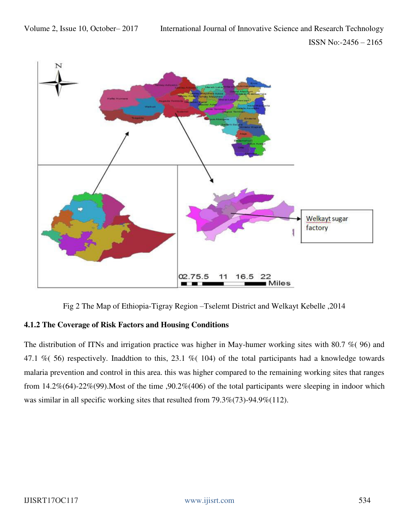

Fig 2 The Map of Ethiopia-Tigray Region –Tselemt District and Welkayt Kebelle ,2014

# **4.1.2 The Coverage of Risk Factors and Housing Conditions**

The distribution of ITNs and irrigation practice was higher in May-humer working sites with 80.7 %( 96) and 47.1 %( 56) respectively. Inaddtion to this, 23.1 %( 104) of the total participants had a knowledge towards malaria prevention and control in this area. this was higher compared to the remaining working sites that ranges from 14.2%(64)-22%(99).Most of the time ,90.2%(406) of the total participants were sleeping in indoor which was similar in all specific working sites that resulted from 79.3%(73)-94.9%(112).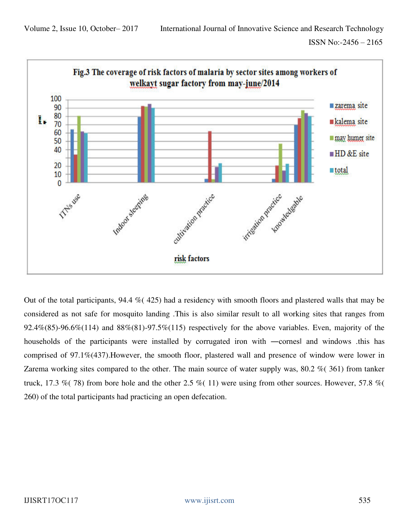

Out of the total participants, 94.4 %( 425) had a residency with smooth floors and plastered walls that may be considered as not safe for mosquito landing .This is also similar result to all working sites that ranges from 92.4%(85)-96.6%(114) and  $88\%/81$ )-97.5%(115) respectively for the above variables. Even, majority of the households of the participants were installed by corrugated iron with —cornes and windows .this has comprised of 97.1%(437).However, the smooth floor, plastered wall and presence of window were lower in Zarema working sites compared to the other. The main source of water supply was, 80.2 %( 361) from tanker truck, 17.3 %( 78) from bore hole and the other 2.5 %( 11) were using from other sources. However, 57.8 %( 260) of the total participants had practicing an open defecation.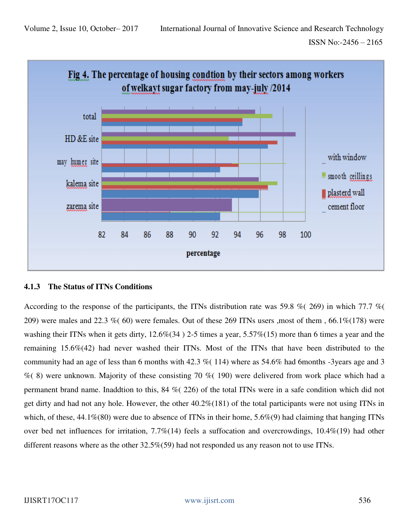

# **4.1.3 The Status of ITNs Conditions**

According to the response of the participants, the ITNs distribution rate was 59.8 % (269) in which 77.7 % ( 209) were males and 22.3 % (60) were females. Out of these 269 ITNs users ,most of them ,  $66.1\%$  (178) were washing their ITNs when it gets dirty, 12.6%(34 ) 2-5 times a year, 5.57%(15) more than 6 times a year and the remaining 15.6%(42) had never washed their ITNs. Most of the ITNs that have been distributed to the community had an age of less than 6 months with 42.3 %( 114) where as 54.6% had 6months -3years age and 3  $\%$  (8) were unknown. Majority of these consisting 70  $\%$  (190) were delivered from work place which had a permanent brand name. Inaddtion to this, 84 %( 226) of the total ITNs were in a safe condition which did not get dirty and had not any hole. However, the other 40.2%(181) of the total participants were not using ITNs in which, of these,  $44.1\%$ (80) were due to absence of ITNs in their home,  $5.6\%$ (9) had claiming that hanging ITNs over bed net influences for irritation, 7.7%(14) feels a suffocation and overcrowdings, 10.4%(19) had other different reasons where as the other 32.5%(59) had not responded us any reason not to use ITNs.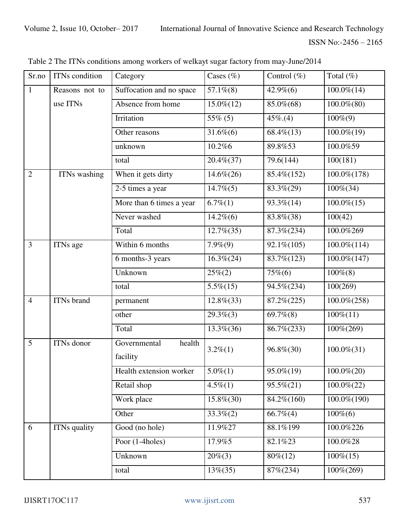| Sr.no          | ITNs condition    | Category                           | Cases $(\% )$   | Control $(\%)$ | Total $(\%)$     |
|----------------|-------------------|------------------------------------|-----------------|----------------|------------------|
| 1              | Reasons not to    | Suffocation and no space           | $57.1\%(8)$     | $42.9\%(6)$    | $100.0\%$ $(14)$ |
|                | use ITNs          | Absence from home                  | $15.0\%(12)$    | 85.0%(68)      | $100.0\% (80)$   |
|                |                   | Irritation                         | $55\%$ (5)      | $45\%.(4)$     | $100\%$ (9)      |
|                |                   | Other reasons                      | $31.6\%$ $(6)$  | $68.4\% (13)$  | $100.0\%(19)$    |
|                |                   | unknown                            | 10.2%6          | 89.8%53        | 100.0%59         |
|                |                   | total                              | $20.4\% (37)$   | 79.6(144)      | 100(181)         |
| $\overline{2}$ | ITNs washing      | When it gets dirty                 | $14.6\% (26)$   | 85.4%(152)     | $100.0\%(178)$   |
|                |                   | 2-5 times a year                   | $14.7\% (5)$    | 83.3%(29)      | $100\% (34)$     |
|                |                   | More than 6 times a year           | $6.7\%(1)$      | 93.3%(14)      | $100.0\%(15)$    |
|                |                   | Never washed                       | $14.2\%$ $(6)$  | 83.8%(38)      | 100(42)          |
|                |                   | Total                              | $12.7\%$ $(35)$ | 87.3%(234)     | 100.0%269        |
| $\overline{3}$ | <b>ITNs</b> age   | Within 6 months                    | $7.9\%(9)$      | 92.1\%(105)    | $100.0\% (114)$  |
|                |                   | 6 months-3 years                   | $16.3\%(24)$    | 83.7% (123)    | $100.0\%(147)$   |
|                |                   | Unknown                            | $25\% (2)$      | $75\%$ (6)     | $100\%$ (8)      |
|                |                   | total                              | $5.5\%(15)$     | 94.5%(234)     | 100(269)         |
| $\overline{4}$ | ITNs brand        | permanent                          | $12.8\%(33)$    | 87.2%(225)     | $100.0\% (258)$  |
|                |                   | other                              | $29.3\%(3)$     | $69.7\%$ $(8)$ | $100\%(11)$      |
|                |                   | Total                              | $13.3\% (36)$   | 86.7%(233)     | 100%(269)        |
| 5              | <b>ITNs</b> donor | Governmental<br>health<br>facility | $3.2\%(1)$      | 96.8%(30)      | $100.0\%$ $(31)$ |
|                |                   | Health extension worker            | $5.0\%(1)$      | 95.0%(19)      | $100.0\% (20)$   |
|                |                   | Retail shop                        | $4.5\%(1)$      | $95.5\%(21)$   | $100.0\% (22)$   |
|                |                   | Work place                         | $15.8\%(30)$    | 84.2%(160)     | 100.0%(190)      |
|                |                   | Other                              | $33.3\%(2)$     | $66.7\%$ (4)   | $100\%$ (6)      |
| 6              | ITNs quality      | Good (no hole)                     | 11.9%27         | 88.1%199       | 100.0%226        |
|                |                   | Poor (1-4holes)                    | 17.9%5          | 82.1%23        | 100.0%28         |
|                |                   | Unknown                            | $20\%$ (3)      | $80\% (12)$    | $100\%(15)$      |
|                |                   | total                              | $13\%(35)$      | 87%(234)       | 100%(269)        |

Table 2 The ITNs conditions among workers of welkayt sugar factory from may-June/2014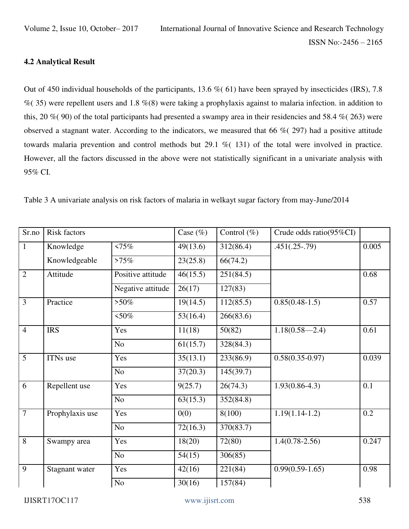### **4.2 Analytical Result**

Out of 450 individual households of the participants, 13.6 %( 61) have been sprayed by insecticides (IRS), 7.8  $\%$  (35) were repellent users and 1.8 %(8) were taking a prophylaxis against to malaria infection. in addition to this, 20  $\%$  (90) of the total participants had presented a swampy area in their residencies and 58.4  $\%$  (263) were observed a stagnant water. According to the indicators, we measured that 66 %( 297) had a positive attitude towards malaria prevention and control methods but 29.1 %( 131) of the total were involved in practice. However, all the factors discussed in the above were not statistically significant in a univariate analysis with 95% CI.

|  |  |  | Table 3 A univariate analysis on risk factors of malaria in welkayt sugar factory from may-June/2014 |
|--|--|--|------------------------------------------------------------------------------------------------------|
|  |  |  |                                                                                                      |

| Sr.no          | <b>Risk factors</b> |                   | Case $(\%)$           | Control $(\%)$       | Crude odds ratio(95%CI) |       |
|----------------|---------------------|-------------------|-----------------------|----------------------|-------------------------|-------|
| $\mathbf{1}$   | Knowledge           | <75%              | 49(13.6)              | 312(86.4)            | $.451(.25-.79)$         | 0.005 |
|                | Knowledgeable       | >75%              | 23(25.8)              | 66(74.2)             |                         |       |
| $\overline{2}$ | Attitude            | Positive attitude | $\overline{46(15.5)}$ | 251(84.5)            |                         | 0.68  |
|                |                     | Negative attitude | 26(17)                | 127(83)              |                         |       |
| $\overline{3}$ | Practice            | $>50\%$           | $\overline{19(14.5)}$ | 112(85.5)            | $0.85(0.48-1.5)$        | 0.57  |
|                |                     | $50\%$            | $\overline{53(16.4)}$ | 266(83.6)            |                         |       |
| $\overline{4}$ | <b>IRS</b>          | Yes               | 11(18)                | 50(82)               | $1.18(0.58 - 2.4)$      | 0.61  |
|                |                     | No                | 61(15.7)              | 328(84.3)            |                         |       |
| 5              | ITNs use            | Yes               | 35(13.1)              | 233(86.9)            | $0.58(0.35-0.97)$       | 0.039 |
|                |                     | N <sub>o</sub>    | 37(20.3)              | 145(39.7)            |                         |       |
| 6              | Repellent use       | Yes               | 9(25.7)               | 26(74.3)             | $1.93(0.86-4.3)$        | 0.1   |
|                |                     | No                | 63(15.3)              | 352(84.8)            |                         |       |
| $\overline{7}$ | Prophylaxis use     | Yes               | 0(0)                  | 8(100)               | $1.19(1.14-1.2)$        | 0.2   |
|                |                     | N <sub>o</sub>    | 72(16.3)              | 370(83.7)            |                         |       |
| 8              | Swampy area         | Yes               | 18(20)                | 72(80)               | $1.4(0.78 - 2.56)$      | 0.247 |
|                |                     | No                | 54(15)                | 306(85)              |                         |       |
| 9              | Stagnant water      | Yes               | 42(16)                | $\overline{221(84)}$ | $0.99(0.59-1.65)$       | 0.98  |
|                |                     | $\overline{No}$   | 30(16)                | 157(84)              |                         |       |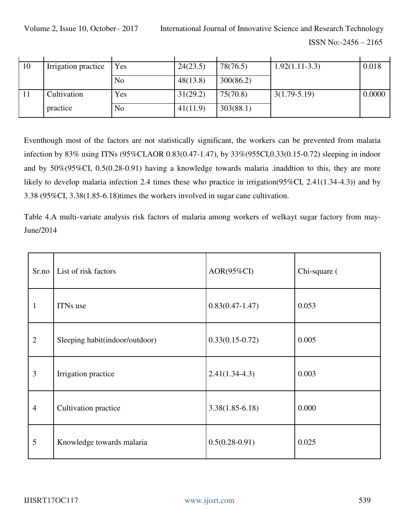Volume 2, Issue 10, October– 2017 International Journal of Innovative Science and Research Technology ISSN No:-2456 – 2165

| 10 |                     |     |          | 78(76.5)  |                  | 0.018  |
|----|---------------------|-----|----------|-----------|------------------|--------|
|    | Irrigation practice | Yes | 24(23.5) |           | $1.92(1.11-3.3)$ |        |
|    |                     | No  | 48(13.8) | 300(86.2) |                  |        |
|    | Cultivation         | Yes | 31(29.2) | 75(70.8)  | $3(1.79-5.19)$   | 0.0000 |
|    | practice            | No  | 41(11.9) | 303(88.1) |                  |        |

Eventhough most of the factors are not statistically significant, the workers can be prevented from malaria infection by 83% using ITNs (95%CI,AOR 0.83(0.47-1.47), by 33%(955CI,0.33(0.15-0.72) sleeping in indoor and by 50%(95%CI, 0.5(0.28-0.91) having a knowledge towards malaria .inaddtion to this, they are more likely to develop malaria infection 2.4 times these who practice in irrigation(95%CI, 2.41(1.34-4.3)) and by 3.38 (95%CI, 3.38(1.85-6.18)times the workers involved in sugar cane cultivation.

Table 4.A multi-variate analysis risk factors of malaria among workers of welkayt sugar factory from may-June/2014

| Sr.no          | List of risk factors           | $AOR(95\%CI)$     | Chi-square ( |
|----------------|--------------------------------|-------------------|--------------|
| 1              | ITNs use                       | $0.83(0.47-1.47)$ | 0.053        |
| $\overline{2}$ | Sleeping habit(indoor/outdoor) | $0.33(0.15-0.72)$ | 0.005        |
| 3              | Irrigation practice            | $2.41(1.34-4.3)$  | 0.003        |
| $\overline{4}$ | Cultivation practice           | $3.38(1.85-6.18)$ | 0.000        |
| 5              | Knowledge towards malaria      | $0.5(0.28-0.91)$  | 0.025        |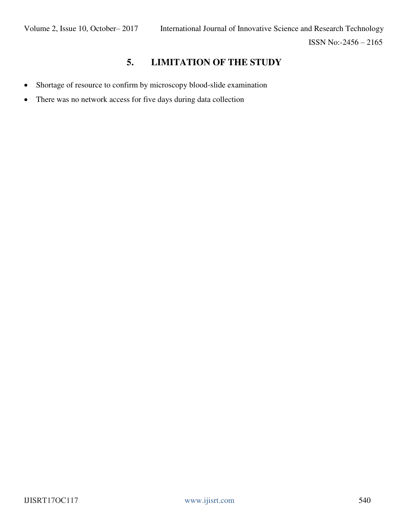# **5. LIMITATION OF THE STUDY**

- Shortage of resource to confirm by microscopy blood-slide examination
- There was no network access for five days during data collection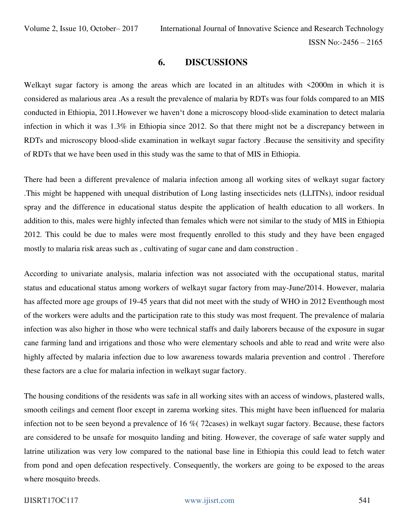### **6. DISCUSSIONS**

Welkayt sugar factory is among the areas which are located in an altitudes with  $\leq 2000$ m in which it is considered as malarious area .As a result the prevalence of malaria by RDTs was four folds compared to an MIS conducted in Ethiopia, 2011.However we haven't done a microscopy blood-slide examination to detect malaria infection in which it was 1.3% in Ethiopia since 2012. So that there might not be a discrepancy between in RDTs and microscopy blood-slide examination in welkayt sugar factory .Because the sensitivity and specifity of RDTs that we have been used in this study was the same to that of MIS in Ethiopia.

There had been a different prevalence of malaria infection among all working sites of welkayt sugar factory .This might be happened with unequal distribution of Long lasting insecticides nets (LLITNs), indoor residual spray and the difference in educational status despite the application of health education to all workers. In addition to this, males were highly infected than females which were not similar to the study of MIS in Ethiopia 2012. This could be due to males were most frequently enrolled to this study and they have been engaged mostly to malaria risk areas such as , cultivating of sugar cane and dam construction .

According to univariate analysis, malaria infection was not associated with the occupational status, marital status and educational status among workers of welkayt sugar factory from may-June/2014. However, malaria has affected more age groups of 19-45 years that did not meet with the study of WHO in 2012 Eventhough most of the workers were adults and the participation rate to this study was most frequent. The prevalence of malaria infection was also higher in those who were technical staffs and daily laborers because of the exposure in sugar cane farming land and irrigations and those who were elementary schools and able to read and write were also highly affected by malaria infection due to low awareness towards malaria prevention and control . Therefore these factors are a clue for malaria infection in welkayt sugar factory.

The housing conditions of the residents was safe in all working sites with an access of windows, plastered walls, smooth ceilings and cement floor except in zarema working sites. This might have been influenced for malaria infection not to be seen beyond a prevalence of 16 %( 72cases) in welkayt sugar factory. Because, these factors are considered to be unsafe for mosquito landing and biting. However, the coverage of safe water supply and latrine utilization was very low compared to the national base line in Ethiopia this could lead to fetch water from pond and open defecation respectively. Consequently, the workers are going to be exposed to the areas where mosquito breeds.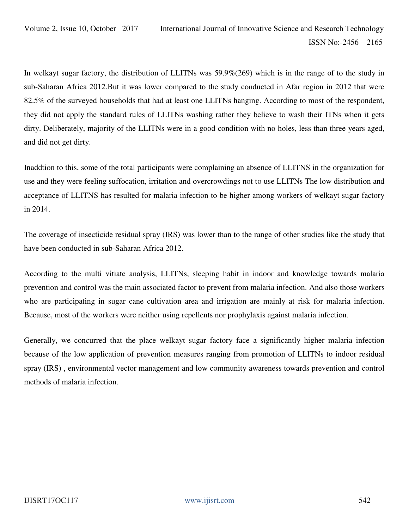In welkayt sugar factory, the distribution of LLITNs was 59.9%(269) which is in the range of to the study in sub-Saharan Africa 2012.But it was lower compared to the study conducted in Afar region in 2012 that were 82.5% of the surveyed households that had at least one LLITNs hanging. According to most of the respondent, they did not apply the standard rules of LLITNs washing rather they believe to wash their ITNs when it gets dirty. Deliberately, majority of the LLITNs were in a good condition with no holes, less than three years aged, and did not get dirty.

Inaddtion to this, some of the total participants were complaining an absence of LLITNS in the organization for use and they were feeling suffocation, irritation and overcrowdings not to use LLITNs The low distribution and acceptance of LLITNS has resulted for malaria infection to be higher among workers of welkayt sugar factory in 2014.

The coverage of insecticide residual spray (IRS) was lower than to the range of other studies like the study that have been conducted in sub-Saharan Africa 2012.

According to the multi vitiate analysis, LLITNs, sleeping habit in indoor and knowledge towards malaria prevention and control was the main associated factor to prevent from malaria infection. And also those workers who are participating in sugar cane cultivation area and irrigation are mainly at risk for malaria infection. Because, most of the workers were neither using repellents nor prophylaxis against malaria infection.

Generally, we concurred that the place welkayt sugar factory face a significantly higher malaria infection because of the low application of prevention measures ranging from promotion of LLITNs to indoor residual spray (IRS) , environmental vector management and low community awareness towards prevention and control methods of malaria infection.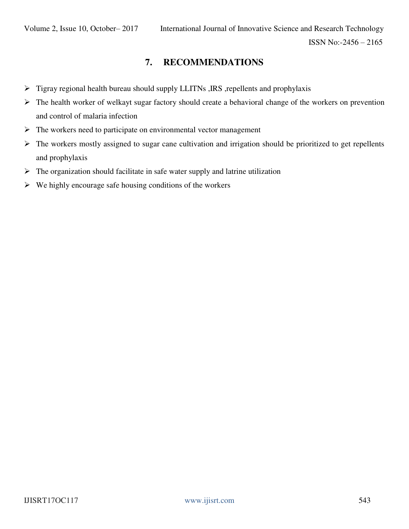# **7. RECOMMENDATIONS**

- $\triangleright$  Tigray regional health bureau should supply LLITNs , IRS , repellents and prophylaxis
- $\triangleright$  The health worker of welkayt sugar factory should create a behavioral change of the workers on prevention and control of malaria infection
- $\triangleright$  The workers need to participate on environmental vector management
- $\triangleright$  The workers mostly assigned to sugar cane cultivation and irrigation should be prioritized to get repellents and prophylaxis
- $\triangleright$  The organization should facilitate in safe water supply and latrine utilization
- $\triangleright$  We highly encourage safe housing conditions of the workers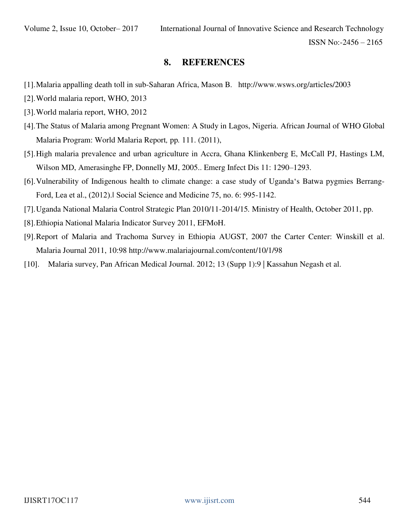# **8. REFERENCES**

- [1].Malaria appalling death toll in sub-Saharan Africa, Mason B. <http://www.wsws.org/articles/2003>
- [2].World malaria report, WHO, 2013
- [3].World malaria report, WHO, 2012
- [4].The Status of Malaria among Pregnant Women: A Study in Lagos, Nigeria. African Journal of WHO Global Malaria Program: World Malaria Report*,* pp*.* 111. (2011),
- [5].High malaria prevalence and urban agriculture in Accra, Ghana Klinkenberg E, McCall PJ, Hastings LM, Wilson MD, Amerasinghe FP, Donnelly MJ, 2005.. Emerg Infect Dis 11: 1290–1293.
- [6].Vulnerability of Indigenous health to climate change: a case study of Uganda's Batwa pygmies Berrang-Ford, Lea et al., (2012).‖ Social Science and Medicine 75, no. 6: 995-1142.
- [7].Uganda National Malaria Control Strategic Plan 2010/11-2014/15*.* Ministry of Health, October 2011, pp.
- [8].Ethiopia National Malaria Indicator Survey 2011, EFMoH.
- [9].Report of Malaria and Trachoma Survey in Ethiopia AUGST, 2007 the Carter Center: Winskill et al. Malaria Journal 2011, 10:98<http://www.malariajournal.com/content/10/1/98>
- [10]. Malaria survey, Pan African Medical Journal. 2012; 13 (Supp 1):9 | Kassahun Negash et al.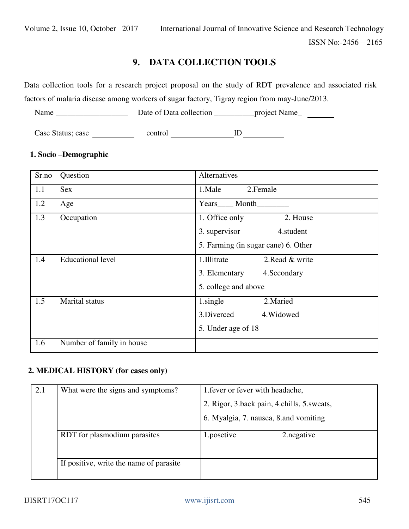# **9. DATA COLLECTION TOOLS**

Data collection tools for a research project proposal on the study of RDT prevalence and associated risk factors of malaria disease among workers of sugar factory, Tigray region from may-June/2013.

Name \_\_\_\_\_\_\_\_\_\_\_\_\_\_\_\_\_\_ Date of Data collection \_\_\_\_\_\_\_\_\_\_project Name\_

Case Status; case control ID ID

# **1. Socio –Demographic**

| Sr.no | Question                  | Alternatives                        |
|-------|---------------------------|-------------------------------------|
| 1.1   | <b>Sex</b>                | 1.Male<br>2. Female                 |
| 1.2   | Age                       | Month<br>Years                      |
| 1.3   | Occupation                | 1. Office only<br>2. House          |
|       |                           | 3. supervisor<br>4.student          |
|       |                           | 5. Farming (in sugar cane) 6. Other |
| 1.4   | <b>Educational level</b>  | 2. Read & write<br>1. Illitrate     |
|       |                           | 3. Elementary<br>4. Secondary       |
|       |                           | 5. college and above                |
| 1.5   | Marital status            | 1.single<br>2. Maried               |
|       |                           | 3.Diverced<br>4. Widowed            |
|       |                           | 5. Under age of 18                  |
| 1.6   | Number of family in house |                                     |

# **2. MEDICAL HISTORY (for cases only)**

| 2.1 | What were the signs and symptoms?       | 1. fever or fever with headache,           |
|-----|-----------------------------------------|--------------------------------------------|
|     |                                         | 2. Rigor, 3.back pain, 4.chills, 5.sweats, |
|     |                                         | 6. Myalgia, 7. nausea, 8. and vomiting     |
|     | RDT for plasmodium parasites            | 1.posetive<br>2. negative                  |
|     | If positive, write the name of parasite |                                            |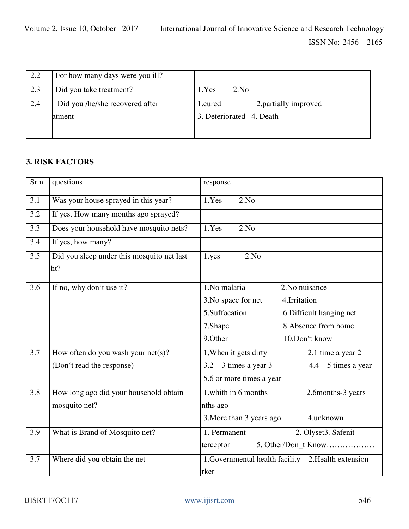| 2.2 | For how many days were you ill? |                                  |
|-----|---------------------------------|----------------------------------|
| 2.3 | Did you take treatment?         | 1.Yes<br>2.No                    |
| 2.4 | Did you /he/she recovered after | 2. partially improved<br>1.cured |
|     | atment                          | 3. Deteriorated 4. Death         |
|     |                                 |                                  |

# **3. RISK FACTORS**

| Sr.n             | questions                                         | response                                           |
|------------------|---------------------------------------------------|----------------------------------------------------|
| $\overline{3.1}$ | Was your house sprayed in this year?              | 1.Yes<br>2.No                                      |
| $\overline{3.2}$ | If yes, How many months ago sprayed?              |                                                    |
| 3.3              | Does your household have mosquito nets?           | 1.Yes<br>2.No                                      |
| $\overline{3.4}$ | If yes, how many?                                 |                                                    |
| $\overline{3.5}$ | Did you sleep under this mosquito net last<br>ht? | 2.No<br>1.yes                                      |
| $\overline{3.6}$ | If no, why don't use it?                          | $1.$ No malaria<br>2. No nuisance                  |
|                  |                                                   | 3. No space for net<br>4.Irritation                |
|                  |                                                   | 5.Suffocation<br>6. Difficult hanging net          |
|                  |                                                   | 8. Absence from home<br>7.Shape                    |
|                  |                                                   | 9.Other<br>10.Don't know                           |
| 3.7              | How often do you wash your $net(s)$ ?             | 1, When it gets dirty<br>2.1 time a year 2         |
|                  | (Don't read the response)                         | $3.2 - 3$ times a year 3<br>$4.4 - 5$ times a year |
|                  |                                                   | 5.6 or more times a year                           |
| $\overline{3.8}$ | How long ago did your household obtain            | 1.whith in 6 months<br>2.6months-3 years           |
|                  | mosquito net?                                     | nths ago                                           |
|                  |                                                   | 3. More than 3 years ago<br>4.unknown              |
| $\overline{3.9}$ | What is Brand of Mosquito net?                    | 1. Permanent<br>2. Olyset3. Safenit                |
|                  |                                                   | 5. Other/Don_t Know<br>terceptor                   |
| $\overline{3.7}$ | Where did you obtain the net                      | 1.Governmental health facility 2.Health extension  |
|                  |                                                   | rker                                               |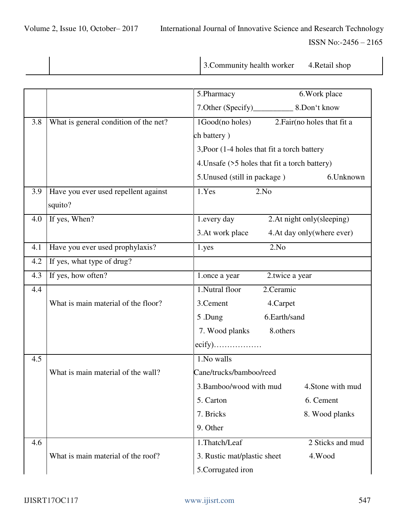|  | 3. Community health worker | 4. Retail shop |
|--|----------------------------|----------------|

|     |                                       | 5.Pharmacy<br>6. Work place                     |  |
|-----|---------------------------------------|-------------------------------------------------|--|
|     |                                       |                                                 |  |
| 3.8 | What is general condition of the net? | 1Good(no holes)<br>2. Fair (no holes that fit a |  |
|     |                                       | ch battery)                                     |  |
|     |                                       | 3, Poor (1-4 holes that fit a torch battery     |  |
|     |                                       | 4. Unsafe (>5 holes that fit a torch battery)   |  |
|     |                                       | 5. Unused (still in package)<br>6.Unknown       |  |
| 3.9 | Have you ever used repellent against  | 1.Yes<br>2.No                                   |  |
|     | squito?                               |                                                 |  |
| 4.0 | If yes, When?                         | 2. At night only (sleeping)<br>1.every day      |  |
|     |                                       | 3.At work place<br>4. At day only (where ever)  |  |
| 4.1 | Have you ever used prophylaxis?       | 2.No<br>1.yes                                   |  |
| 4.2 | If yes, what type of drug?            |                                                 |  |
| 4.3 | If yes, how often?                    | 2.twice a year<br>1.once a year                 |  |
| 4.4 |                                       | 1.Nutral floor<br>2.Ceramic                     |  |
|     | What is main material of the floor?   | 3. Cement<br>4.Carpet                           |  |
|     |                                       | 6.Earth/sand<br>5.Dung                          |  |
|     |                                       | 7. Wood planks<br>8.others                      |  |
|     |                                       |                                                 |  |
| 4.5 |                                       | 1.No walls                                      |  |
|     | What is main material of the wall?    | Cane/trucks/bamboo/reed                         |  |
|     |                                       | 3. Bamboo/wood with mud<br>4. Stone with mud    |  |
|     |                                       | 6. Cement<br>5. Carton                          |  |
|     |                                       | 7. Bricks<br>8. Wood planks                     |  |
|     |                                       | 9. Other                                        |  |
| 4.6 |                                       | 1.Thatch/Leaf<br>2 Sticks and mud               |  |
|     | What is main material of the roof?    | 3. Rustic mat/plastic sheet<br>4.Wood           |  |
|     |                                       | 5.Corrugated iron                               |  |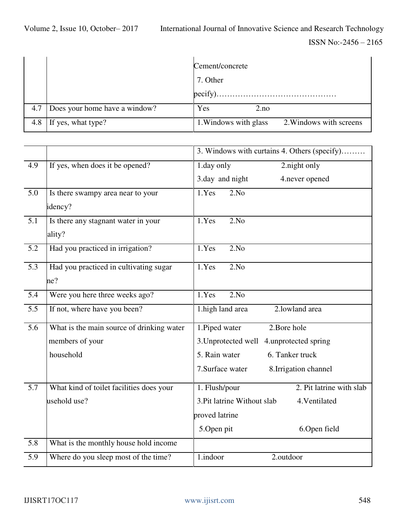|     |                               | Cement/concrete                                  |  |
|-----|-------------------------------|--------------------------------------------------|--|
|     |                               | 7. Other                                         |  |
|     |                               | pecify).                                         |  |
| 4.7 | Does your home have a window? | Yes<br>2.no                                      |  |
| 4.8 | If yes, what type?            | 2. Windows with screens<br>1. Windows with glass |  |

|                  |                                           | 3. Windows with curtains 4. Others (specify) |  |
|------------------|-------------------------------------------|----------------------------------------------|--|
| 4.9              | If yes, when does it be opened?           | 2.night only<br>1.day only                   |  |
|                  |                                           | 3.day and night<br>4.never opened            |  |
| $\overline{5.0}$ | Is there swampy area near to your         | 1.Yes<br>2.No                                |  |
|                  | idency?                                   |                                              |  |
| $\overline{5.1}$ | Is there any stagnant water in your       | 1.Yes<br>2.No                                |  |
|                  | ality?                                    |                                              |  |
| $\overline{5.2}$ | Had you practiced in irrigation?          | 1.Yes<br>2.No                                |  |
| $\overline{5.3}$ | Had you practiced in cultivating sugar    | 1.Yes<br>2.No                                |  |
|                  | ne?                                       |                                              |  |
| $\overline{5.4}$ | Were you here three weeks ago?            | 2.No<br>1.Yes                                |  |
| $\overline{5.5}$ | If not, where have you been?              | 2.lowland area<br>1. high land area          |  |
| $\overline{5.6}$ | What is the main source of drinking water | 1. Piped water<br>2. Bore hole               |  |
|                  | members of your                           | 3. Unprotected well 4. unprotected spring    |  |
|                  | household                                 | 5. Rain water<br>6. Tanker truck             |  |
|                  |                                           | 7. Surface water<br>8. Irrigation channel    |  |
| $\overline{5.7}$ | What kind of toilet facilities does your  | 2. Pit latrine with slab<br>1. Flush/pour    |  |
|                  | usehold use?                              | 3. Pit latrine Without slab<br>4. Ventilated |  |
|                  |                                           | proved latrine                               |  |
|                  |                                           | 5.Open pit<br>6.Open field                   |  |
| 5.8              | What is the monthly house hold income     |                                              |  |
| $\overline{5.9}$ | Where do you sleep most of the time?      | 1.indoor<br>2.outdoor                        |  |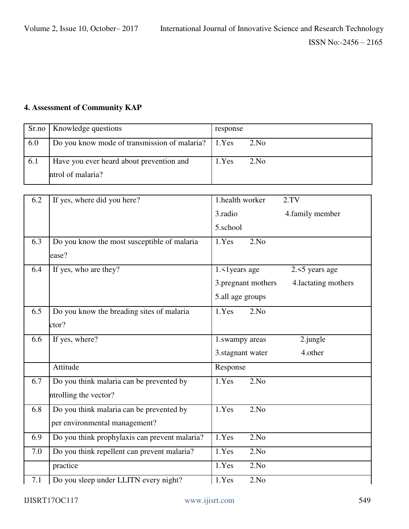# **4. Assessment of Community KAP**

|     | Sr.no   Knowledge questions                         | response |      |
|-----|-----------------------------------------------------|----------|------|
| 6.0 | Do you know mode of transmission of malaria? 1. Yes |          | 2.No |
| 6.1 | Have you ever heard about prevention and            | 1.Yes    | 2.No |
|     | ntrol of malaria?                                   |          |      |

| 6.2 | If yes, where did you here?                   | 1.health worker<br>2. TV                   |
|-----|-----------------------------------------------|--------------------------------------------|
|     |                                               | 3.radio<br>4. family member                |
|     |                                               | 5.school                                   |
| 6.3 | Do you know the most susceptible of malaria   | 1.Yes<br>2.No                              |
|     | ease?                                         |                                            |
| 6.4 | If yes, who are they?                         | 1. < 1 years age<br>$2.5$ years age        |
|     |                                               | 3.pregnant mothers<br>4. lactating mothers |
|     |                                               | 5.all age groups                           |
| 6.5 | Do you know the breading sites of malaria     | 1.Yes<br>2.No                              |
|     | ctor?                                         |                                            |
| 6.6 | If yes, where?                                | $2$ . jungle<br>1.swampy areas             |
|     |                                               | 3. stagnant water<br>4.other               |
|     | Attitude                                      | Response                                   |
| 6.7 | Do you think malaria can be prevented by      | 1.Yes<br>2.No                              |
|     | ntrolling the vector?                         |                                            |
| 6.8 | Do you think malaria can be prevented by      | 1.Yes<br>2.No                              |
|     | per environmental management?                 |                                            |
| 6.9 | Do you think prophylaxis can prevent malaria? | 1.Yes<br>2.No                              |
| 7.0 | Do you think repellent can prevent malaria?   | 1.Yes<br>2.No                              |
|     | practice                                      | 2.No<br>1.Yes                              |
| 7.1 | Do you sleep under LLITN every night?         | 2.No<br>1.Yes                              |